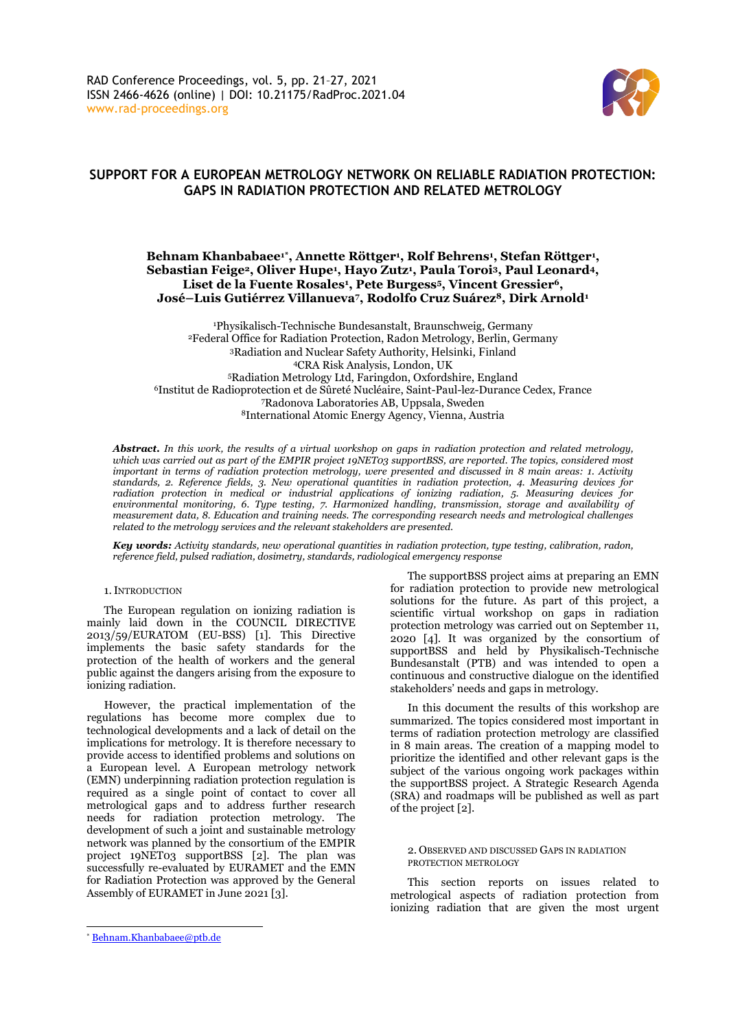

# **SUPPORT FOR A EUROPEAN METROLOGY NETWORK ON RELIABLE RADIATION PROTECTION: GAPS IN RADIATION PROTECTION AND RELATED METROLOGY**

# **Behnam Khanbabaee1\* , Annette Röttger<sup>1</sup> , Rolf Behrens<sup>1</sup> , Stefan Röttger<sup>1</sup> , Sebastian Feige2, Oliver Hupe<sup>1</sup> , Hayo Zutz<sup>1</sup> , Paula Toroi3, Paul Leonard4, Liset de la Fuente Rosales<sup>1</sup> , Pete Burgess5, Vincent Gressier6, José–Luis Gutiérrez Villanueva7, Rodolfo Cruz Suárez8, Dirk Arnold<sup>1</sup>**

Physikalisch-Technische Bundesanstalt, Braunschweig, Germany Federal Office for Radiation Protection, Radon Metrology, Berlin, Germany Radiation and Nuclear Safety Authority, Helsinki, Finland CRA Risk Analysis, London, UK Radiation Metrology Ltd, Faringdon, Oxfordshire, England Institut de Radioprotection et de Sûreté Nucléaire, Saint-Paul-lez-Durance Cedex, France Radonova Laboratories AB, Uppsala, Sweden International Atomic Energy Agency, Vienna, Austria

*Abstract. In this work, the results of a virtual workshop on gaps in radiation protection and related metrology, which was carried out as part of the EMPIR project 19NET03 supportBSS, are reported. The topics, considered most important in terms of radiation protection metrology, were presented and discussed in 8 main areas: 1. Activity standards, 2. Reference fields, 3. New operational quantities in radiation protection, 4. Measuring devices for radiation protection in medical or industrial applications of ionizing radiation, 5. Measuring devices for environmental monitoring, 6. Type testing, 7. Harmonized handling, transmission, storage and availability of measurement data, 8. Education and training needs. The corresponding research needs and metrological challenges related to the metrology services and the relevant stakeholders are presented.*

*Key words: Activity standards, new operational quantities in radiation protection, type testing, calibration, radon, reference field, pulsed radiation, dosimetry, standards, radiological emergency response*

### 1.INTRODUCTION

The European regulation on ionizing radiation is mainly laid down in the COUNCIL DIRECTIVE 2013/59/EURATOM (EU-BSS) [1]. This Directive implements the basic safety standards for the protection of the health of workers and the general public against the dangers arising from the exposure to ionizing radiation.

However, the practical implementation of the regulations has become more complex due to technological developments and a lack of detail on the implications for metrology. It is therefore necessary to provide access to identified problems and solutions on a European level. A European metrology network (EMN) underpinning radiation protection regulation is required as a single point of contact to cover all metrological gaps and to address further research needs for radiation protection metrology. The development of such a joint and sustainable metrology network was planned by the consortium of the EMPIR project 19NET03 supportBSS [2]. The plan was successfully re-evaluated by EURAMET and the EMN for Radiation Protection was approved by the General Assembly of EURAMET in June 2021 [3].

The supportBSS project aims at preparing an EMN for radiation protection to provide new metrological solutions for the future. As part of this project, a scientific virtual workshop on gaps in radiation protection metrology was carried out on September 11, 2020 [4]. It was organized by the consortium of supportBSS and held by Physikalisch-Technische Bundesanstalt (PTB) and was intended to open a continuous and constructive dialogue on the identified stakeholders' needs and gaps in metrology.

In this document the results of this workshop are summarized. The topics considered most important in terms of radiation protection metrology are classified in 8 main areas. The creation of a mapping model to prioritize the identified and other relevant gaps is the subject of the various ongoing work packages within the supportBSS project. A Strategic Research Agenda (SRA) and roadmaps will be published as well as part of the project [2].

### 2. OBSERVED AND DISCUSSED GAPS IN RADIATION PROTECTION METROLOGY

This section reports on issues related to metrological aspects of radiation protection from ionizing radiation that are given the most urgent

<sup>\*</sup> Behnam.Khanbabaee@ptb.de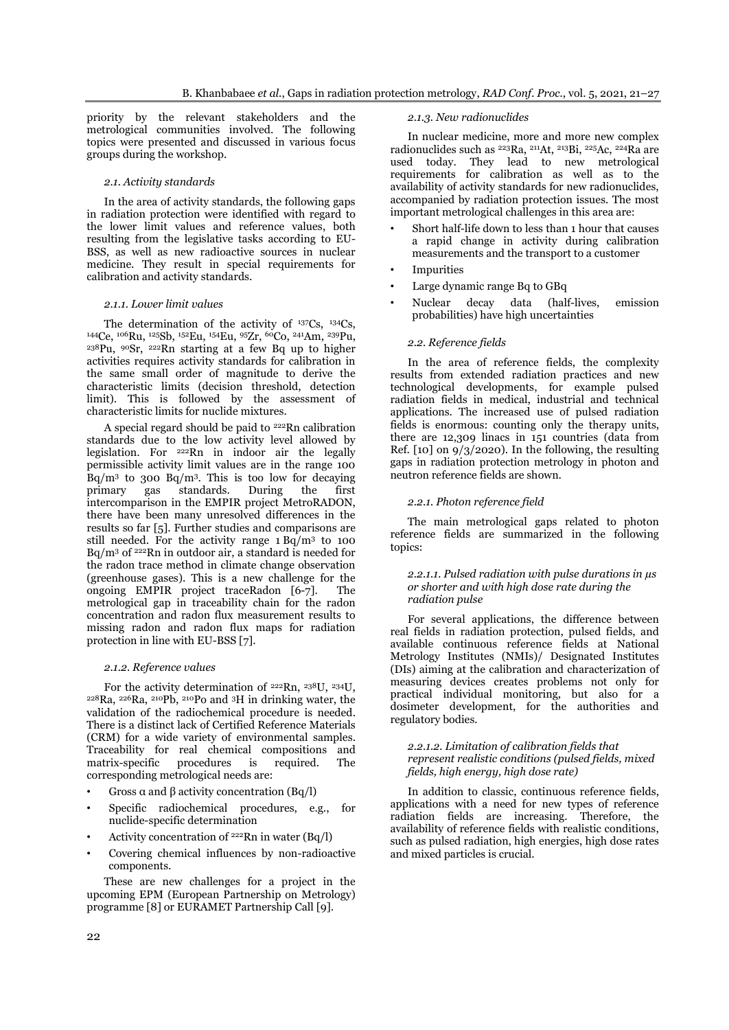priority by the relevant stakeholders and the metrological communities involved. The following topics were presented and discussed in various focus groups during the workshop.

### *2.1. Activity standards*

In the area of activity standards, the following gaps in radiation protection were identified with regard to the lower limit values and reference values, both resulting from the legislative tasks according to EU-BSS, as well as new radioactive sources in nuclear medicine. They result in special requirements for calibration and activity standards.

### *2.1.1. Lower limit values*

The determination of the activity of <sup>137</sup>Cs, <sup>134</sup>Cs, <sup>144</sup>Ce, <sup>106</sup>Ru, <sup>125</sup>Sb, <sup>152</sup>Eu, <sup>154</sup>Eu, <sup>95</sup>Zr, <sup>60</sup>Co, <sup>241</sup>Am, <sup>239</sup>Pu,  $238$ Pu,  $99$ Sr,  $222$ Rn starting at a few Bq up to higher activities requires activity standards for calibration in the same small order of magnitude to derive the characteristic limits (decision threshold, detection limit). This is followed by the assessment of characteristic limits for nuclide mixtures.

A special regard should be paid to  $222$ Rn calibration standards due to the low activity level allowed by legislation. For <sup>222</sup>Rn in indoor air the legally permissible activity limit values are in the range 100 Bq/m<sup>3</sup> to 300 Bq/m<sup>3</sup> . This is too low for decaying primary gas standards. During the first intercomparison in the EMPIR project MetroRADON, there have been many unresolved differences in the results so far [5]. Further studies and comparisons are still needed. For the activity range 1 Bq/m<sup>3</sup> to 100 Bq/m<sup>3</sup> of <sup>222</sup>Rn in outdoor air, a standard is needed for the radon trace method in climate change observation (greenhouse gases). This is a new challenge for the ongoing EMPIR project traceRadon [6-7]. The metrological gap in traceability chain for the radon concentration and radon flux measurement results to missing radon and radon flux maps for radiation protection in line with EU-BSS [7].

### *2.1.2. Reference values*

For the activity determination of <sup>222</sup>Rn, <sup>238</sup>U, <sup>234</sup>U,  $228Ra$ ,  $226Ra$ ,  $210Pb$ ,  $210Po$  and 3H in drinking water, the validation of the radiochemical procedure is needed. There is a distinct lack of Certified Reference Materials (CRM) for a wide variety of environmental samples. Traceability for real chemical compositions and matrix-specific procedures is required. The corresponding metrological needs are:

- Gross  $\alpha$  and  $\beta$  activity concentration (Bq/l)
- Specific radiochemical procedures, e.g., for nuclide-specific determination
- Activity concentration of  $222Rn$  in water (Bq/l)
- Covering chemical influences by non-radioactive components.

These are new challenges for a project in the upcoming EPM (European Partnership on Metrology) programme [8] or EURAMET Partnership Call [9].

#### *2.1.3. New radionuclides*

In nuclear medicine, more and more new complex radionuclides such as <sup>223</sup>Ra, <sup>211</sup>At, <sup>213</sup>Bi, <sup>225</sup>Ac, <sup>224</sup>Ra are used today. They lead to new metrological requirements for calibration as well as to the availability of activity standards for new radionuclides, accompanied by radiation protection issues. The most important metrological challenges in this area are:

- Short half-life down to less than 1 hour that causes a rapid change in activity during calibration measurements and the transport to a customer
- **Impurities**
- Large dynamic range Bq to GBq
- Nuclear decay data (half-lives, emission probabilities) have high uncertainties

#### *2.2. Reference fields*

In the area of reference fields, the complexity results from extended radiation practices and new technological developments, for example pulsed radiation fields in medical, industrial and technical applications. The increased use of pulsed radiation fields is enormous: counting only the therapy units, there are 12,309 linacs in 151 countries (data from Ref.  $[10]$  on  $9/3/2020$ . In the following, the resulting gaps in radiation protection metrology in photon and neutron reference fields are shown.

### *2.2.1. Photon reference field*

The main metrological gaps related to photon reference fields are summarized in the following topics:

### *2.2.1.1. Pulsed radiation with pulse durations in µs or shorter and with high dose rate during the radiation pulse*

For several applications, the difference between real fields in radiation protection, pulsed fields, and available continuous reference fields at National Metrology Institutes (NMIs)/ Designated Institutes (DIs) aiming at the calibration and characterization of measuring devices creates problems not only for practical individual monitoring, but also for a dosimeter development, for the authorities and regulatory bodies.

### *2.2.1.2. Limitation of calibration fields that represent realistic conditions (pulsed fields, mixed fields, high energy, high dose rate)*

In addition to classic, continuous reference fields, applications with a need for new types of reference radiation fields are increasing. Therefore, the availability of reference fields with realistic conditions, such as pulsed radiation, high energies, high dose rates and mixed particles is crucial.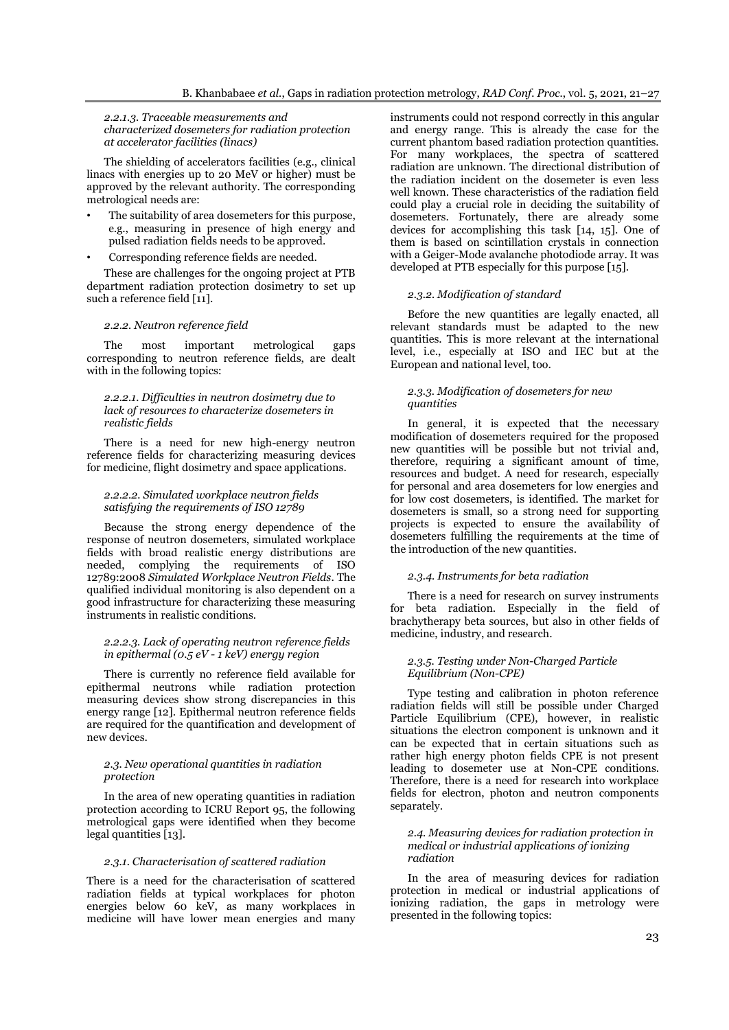*2.2.1.3. Traceable measurements and characterized dosemeters for radiation protection at accelerator facilities (linacs)*

The shielding of accelerators facilities (e.g., clinical linacs with energies up to 20 MeV or higher) must be approved by the relevant authority. The corresponding metrological needs are:

- The suitability of area dosemeters for this purpose, e.g., measuring in presence of high energy and pulsed radiation fields needs to be approved.
- Corresponding reference fields are needed.

These are challenges for the ongoing project at PTB department radiation protection dosimetry to set up such a reference field [11].

#### *2.2.2. Neutron reference field*

The most important metrological gaps corresponding to neutron reference fields, are dealt with in the following topics:

### *2.2.2.1. Difficulties in neutron dosimetry due to lack of resources to characterize dosemeters in realistic fields*

There is a need for new high-energy neutron reference fields for characterizing measuring devices for medicine, flight dosimetry and space applications.

#### *2.2.2.2. Simulated workplace neutron fields satisfying the requirements of ISO 12789*

Because the strong energy dependence of the response of neutron dosemeters, simulated workplace fields with broad realistic energy distributions are needed, complying the requirements of ISO 12789:2008 *Simulated Workplace Neutron Fields*. The qualified individual monitoring is also dependent on a good infrastructure for characterizing these measuring instruments in realistic conditions.

### *2.2.2.3. Lack of operating neutron reference fields in epithermal (0.5 eV - 1 keV) energy region*

There is currently no reference field available for epithermal neutrons while radiation protection measuring devices show strong discrepancies in this energy range [12]. Epithermal neutron reference fields are required for the quantification and development of new devices.

#### *2.3. New operational quantities in radiation protection*

In the area of new operating quantities in radiation protection according to ICRU Report 95, the following metrological gaps were identified when they become legal quantities [13].

### *2.3.1. Characterisation of scattered radiation*

There is a need for the characterisation of scattered radiation fields at typical workplaces for photon energies below 60 keV, as many workplaces in medicine will have lower mean energies and many

instruments could not respond correctly in this angular and energy range. This is already the case for the current phantom based radiation protection quantities. For many workplaces, the spectra of scattered radiation are unknown. The directional distribution of the radiation incident on the dosemeter is even less well known. These characteristics of the radiation field could play a crucial role in deciding the suitability of dosemeters. Fortunately, there are already some devices for accomplishing this task [14, 15]. One of them is based on scintillation crystals in connection with a Geiger-Mode avalanche photodiode array. It was developed at PTB especially for this purpose [15].

#### *2.3.2. Modification of standard*

Before the new quantities are legally enacted, all relevant standards must be adapted to the new quantities. This is more relevant at the international level, i.e., especially at ISO and IEC but at the European and national level, too.

#### *2.3.3. Modification of dosemeters for new quantities*

In general, it is expected that the necessary modification of dosemeters required for the proposed new quantities will be possible but not trivial and, therefore, requiring a significant amount of time, resources and budget. A need for research, especially for personal and area dosemeters for low energies and for low cost dosemeters, is identified. The market for dosemeters is small, so a strong need for supporting projects is expected to ensure the availability of dosemeters fulfilling the requirements at the time of the introduction of the new quantities.

### *2.3.4. Instruments for beta radiation*

There is a need for research on survey instruments for beta radiation. Especially in the field of brachytherapy beta sources, but also in other fields of medicine, industry, and research.

### *2.3.5. Testing under Non-Charged Particle Equilibrium (Non-CPE)*

Type testing and calibration in photon reference radiation fields will still be possible under Charged Particle Equilibrium (CPE), however, in realistic situations the electron component is unknown and it can be expected that in certain situations such as rather high energy photon fields CPE is not present leading to dosemeter use at Non-CPE conditions. Therefore, there is a need for research into workplace fields for electron, photon and neutron components separately.

### *2.4. Measuring devices for radiation protection in medical or industrial applications of ionizing radiation*

In the area of measuring devices for radiation protection in medical or industrial applications of ionizing radiation, the gaps in metrology were presented in the following topics: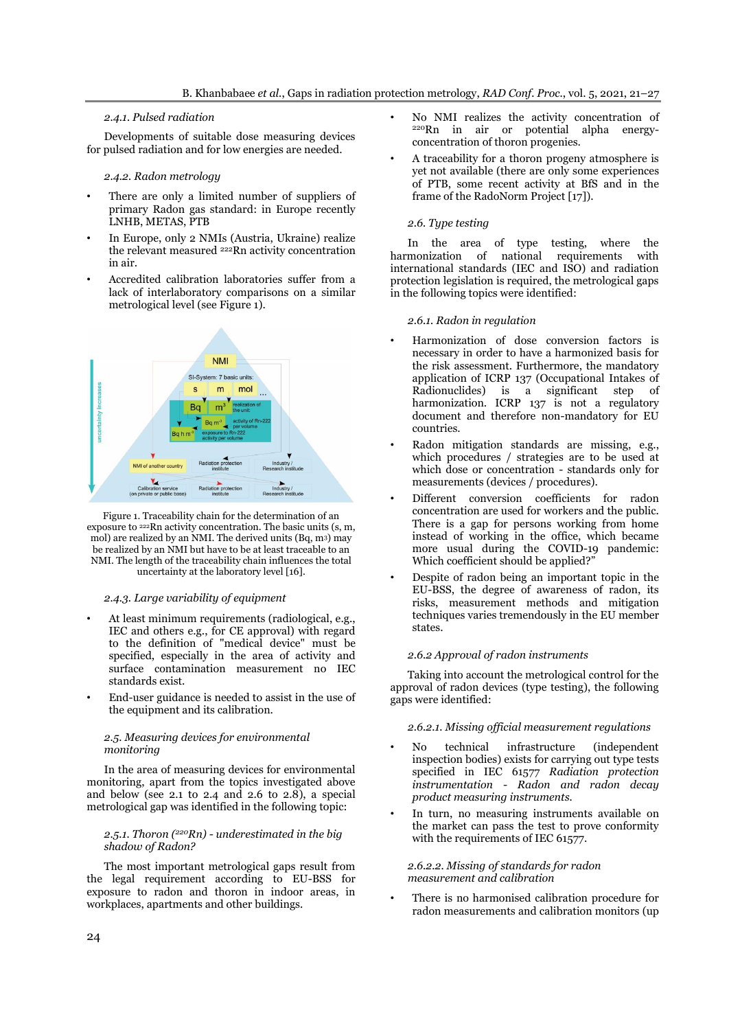# *2.4.1. Pulsed radiation*

Developments of suitable dose measuring devices for pulsed radiation and for low energies are needed.

### *2.4.2. Radon metrology*

- There are only a limited number of suppliers of primary Radon gas standard: in Europe recently LNHB, METAS, PTB
- In Europe, only 2 NMIs (Austria, Ukraine) realize the relevant measured <sup>222</sup>Rn activity concentration in air.
- Accredited calibration laboratories suffer from a lack of interlaboratory comparisons on a similar metrological level (see Figure 1).



Figure 1. Traceability chain for the determination of an exposure to <sup>222</sup>Rn activity concentration. The basic units (s, m, mol) are realized by an NMI. The derived units (Bq, m3) may be realized by an NMI but have to be at least traceable to an NMI. The length of the traceability chain influences the total uncertainty at the laboratory level [16].

### *2.4.3. Large variability of equipment*

- At least minimum requirements (radiological, e.g., IEC and others e.g., for CE approval) with regard to the definition of "medical device" must be specified, especially in the area of activity and surface contamination measurement no IEC standards exist.
- End-user guidance is needed to assist in the use of the equipment and its calibration.

### *2.5. Measuring devices for environmental monitoring*

In the area of measuring devices for environmental monitoring, apart from the topics investigated above and below (see 2.1 to 2.4 and 2.6 to 2.8), a special metrological gap was identified in the following topic:

### *2.5.1. Thoron (<sup>220</sup>Rn) - underestimated in the big shadow of Radon?*

The most important metrological gaps result from the legal requirement according to EU-BSS for exposure to radon and thoron in indoor areas, in workplaces, apartments and other buildings.

- No NMI realizes the activity concentration of <sup>220</sup>Rn in air or potential alpha energyconcentration of thoron progenies.
- A traceability for a thoron progeny atmosphere is yet not available (there are only some experiences of PTB, some recent activity at BfS and in the frame of the RadoNorm Project [17]).

# *2.6. Type testing*

In the area of type testing, where the harmonization of national requirements with international standards (IEC and ISO) and radiation protection legislation is required, the metrological gaps in the following topics were identified:

### *2.6.1. Radon in regulation*

- Harmonization of dose conversion factors is necessary in order to have a harmonized basis for the risk assessment. Furthermore, the mandatory application of ICRP 137 (Occupational Intakes of Radionuclides) is a significant step of harmonization. ICRP 137 is not a regulatory document and therefore non-mandatory for EU countries.
- Radon mitigation standards are missing, e.g., which procedures / strategies are to be used at which dose or concentration - standards only for measurements (devices / procedures).
- Different conversion coefficients for radon concentration are used for workers and the public. There is a gap for persons working from home instead of working in the office, which became more usual during the COVID-19 pandemic: Which coefficient should be applied?"
- Despite of radon being an important topic in the EU-BSS, the degree of awareness of radon, its risks, measurement methods and mitigation techniques varies tremendously in the EU member states.

### *2.6.2 Approval of radon instruments*

Taking into account the metrological control for the approval of radon devices (type testing), the following gaps were identified:

### *2.6.2.1. Missing official measurement regulations*

- No technical infrastructure (independent inspection bodies) exists for carrying out type tests specified in IEC 61577 *Radiation protection instrumentation - Radon and radon decay product measuring instruments.*
- In turn, no measuring instruments available on the market can pass the test to prove conformity with the requirements of IEC 61577.

### *2.6.2.2. Missing of standards for radon measurement and calibration*

There is no harmonised calibration procedure for radon measurements and calibration monitors (up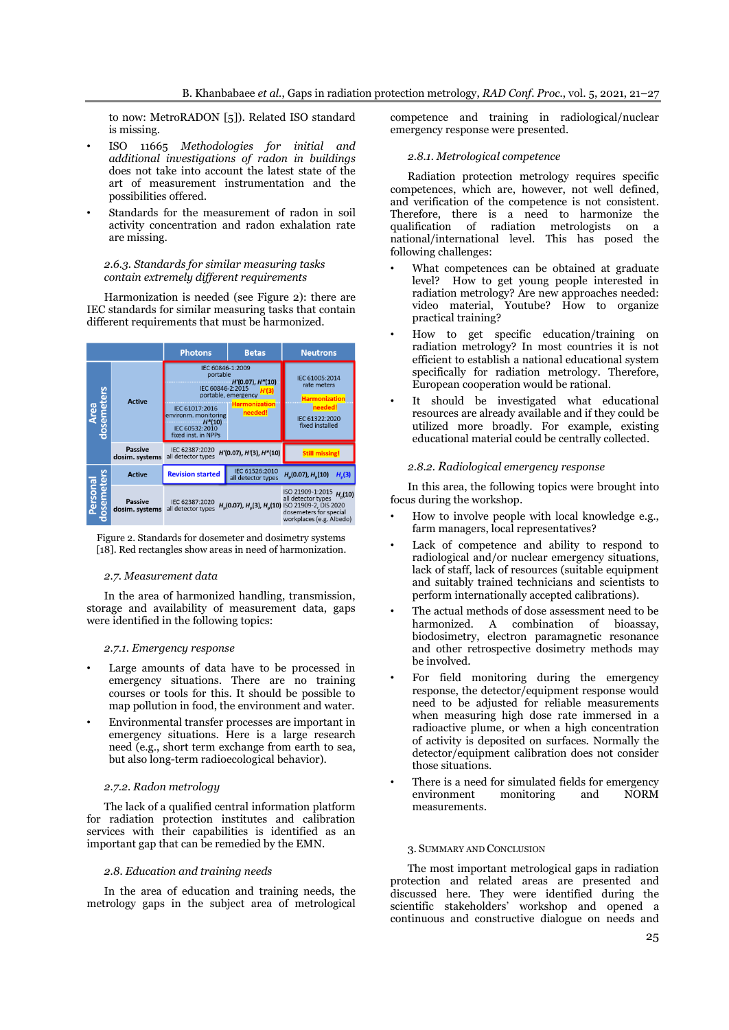to now: MetroRADON [5]). Related ISO standard is missing.

- ISO 11665 *Methodologies for initial and additional investigations of radon in buildings* does not take into account the latest state of the art of measurement instrumentation and the possibilities offered.
- Standards for the measurement of radon in soil activity concentration and radon exhalation rate are missing.

### *2.6.3. Standards for similar measuring tasks contain extremely different requirements*

Harmonization is needed (see Figure 2): there are IEC standards for similar measuring tasks that contain different requirements that must be harmonized.



Figure 2. Standards for dosemeter and dosimetry systems [18]. Red rectangles show areas in need of harmonization.

# *2.7. Measurement data*

In the area of harmonized handling, transmission, storage and availability of measurement data, gaps were identified in the following topics:

# *2.7.1. Emergency response*

- Large amounts of data have to be processed in emergency situations. There are no training courses or tools for this. It should be possible to map pollution in food, the environment and water.
- Environmental transfer processes are important in emergency situations. Here is a large research need (e.g., short term exchange from earth to sea, but also long-term radioecological behavior).

# *2.7.2. Radon metrology*

The lack of a qualified central information platform for radiation protection institutes and calibration services with their capabilities is identified as an important gap that can be remedied by the EMN.

# *2.8. Education and training needs*

In the area of education and training needs, the metrology gaps in the subject area of metrological competence and training in radiological/nuclear emergency response were presented.

### *2.8.1. Metrological competence*

Radiation protection metrology requires specific competences, which are, however, not well defined, and verification of the competence is not consistent. Therefore, there is a need to harmonize the qualification of radiation metrologists on a national/international level. This has posed the following challenges:

- What competences can be obtained at graduate level? How to get young people interested in radiation metrology? Are new approaches needed: video material, Youtube? How to organize practical training?
- How to get specific education/training on radiation metrology? In most countries it is not efficient to establish a national educational system specifically for radiation metrology. Therefore, European cooperation would be rational.
- It should be investigated what educational resources are already available and if they could be utilized more broadly. For example, existing educational material could be centrally collected.

### *2.8.2. Radiological emergency response*

In this area, the following topics were brought into focus during the workshop.

- How to involve people with local knowledge e.g., farm managers, local representatives?
- Lack of competence and ability to respond to radiological and/or nuclear emergency situations, lack of staff, lack of resources (suitable equipment and suitably trained technicians and scientists to perform internationally accepted calibrations).
- The actual methods of dose assessment need to be harmonized. A combination of bioassay, biodosimetry, electron paramagnetic resonance and other retrospective dosimetry methods may be involved.
- For field monitoring during the emergency response, the detector/equipment response would need to be adjusted for reliable measurements when measuring high dose rate immersed in a radioactive plume, or when a high concentration of activity is deposited on surfaces. Normally the detector/equipment calibration does not consider those situations.
- There is a need for simulated fields for emergency environment monitoring and NORM measurements.

# 3. SUMMARY AND CONCLUSION

The most important metrological gaps in radiation protection and related areas are presented and discussed here. They were identified during the scientific stakeholders' workshop and opened a continuous and constructive dialogue on needs and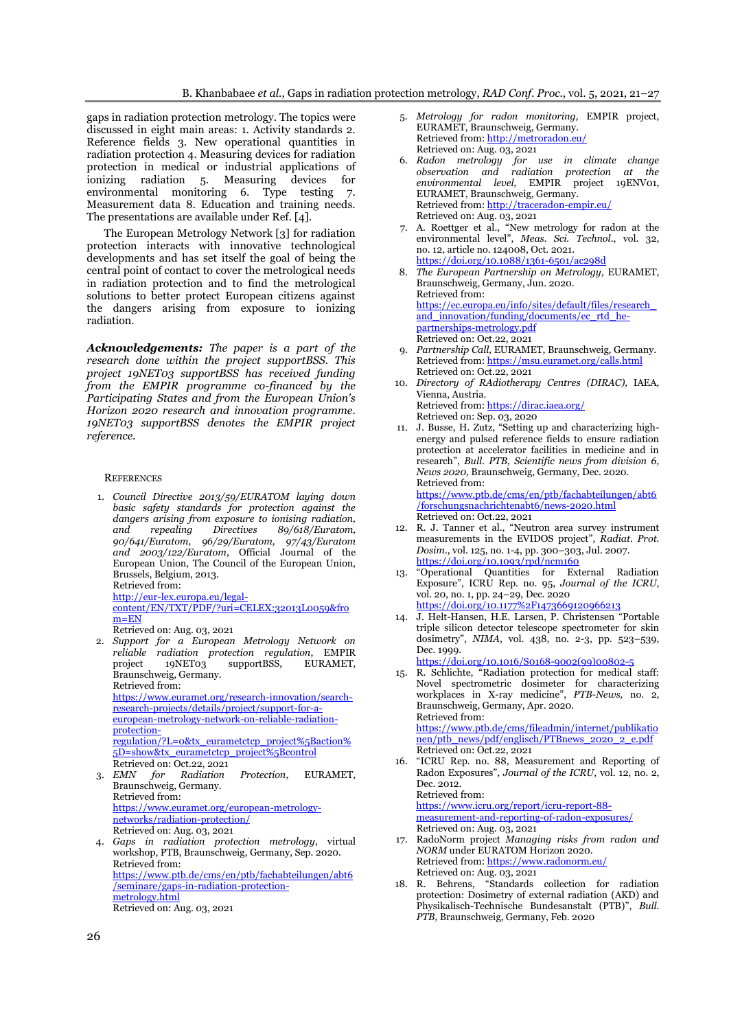gaps in radiation protection metrology. The topics were discussed in eight main areas: 1. Activity standards 2. Reference fields 3. New operational quantities in radiation protection 4. Measuring devices for radiation protection in medical or industrial applications of ionizing radiation 5. Measuring devices for environmental monitoring 6. Type testing 7. Measurement data 8. Education and training needs. The presentations are available under Ref. [4].

The European Metrology Network [3] for radiation protection interacts with innovative technological developments and has set itself the goal of being the central point of contact to cover the metrological needs in radiation protection and to find the metrological solutions to better protect European citizens against the dangers arising from exposure to ionizing radiation.

*Acknowledgements: The paper is a part of the research done within the project supportBSS. This project 19NET03 supportBSS has received funding from the EMPIR programme co-financed by the Participating States and from the European Union's Horizon 2020 research and innovation programme. 19NET03 supportBSS denotes the EMPIR project reference.* 

### **REFERENCES**

1. *Council Directive 2013/59/EURATOM laying down basic safety standards for protection against the dangers arising from exposure to ionising radiation, and repealing Directives 89/618/Euratom, 90/641/Euratom, 96/29/Euratom, 97/43/Euratom and 2003/122/Euratom*, Official Journal of the European Union, The Council of the European Union, Brussels, Belgium, 2013. Retrieved from:

[http://eur-lex.europa.eu/legal](http://eur-lex.europa.eu/legal-content/EN/TXT/PDF/?uri=CELEX:32013L0059&from=EN)[content/EN/TXT/PDF/?uri=CELEX:32013L0059&fro](http://eur-lex.europa.eu/legal-content/EN/TXT/PDF/?uri=CELEX:32013L0059&from=EN)  $m = EN$ 

Retrieved on: Aug. 03, 2021

2. *Support for a European Metrology Network on reliable radiation protection regulation*, EMPIR project 19NET03 supportBSS, Braunschweig, Germany. Retrieved from:

[https://www.euramet.org/research-innovation/search](https://www.euramet.org/research-innovation/search-research-projects/details/project/support-for-a-european-metrology-network-on-reliable-radiation-protection-regulation/?L=0&tx_eurametctcp_project%5Baction%5D=show&tx_eurametctcp_project%5Bcontrol)[research-projects/details/project/support-for-a](https://www.euramet.org/research-innovation/search-research-projects/details/project/support-for-a-european-metrology-network-on-reliable-radiation-protection-regulation/?L=0&tx_eurametctcp_project%5Baction%5D=show&tx_eurametctcp_project%5Bcontrol)[european-metrology-network-on-reliable-radiation](https://www.euramet.org/research-innovation/search-research-projects/details/project/support-for-a-european-metrology-network-on-reliable-radiation-protection-regulation/?L=0&tx_eurametctcp_project%5Baction%5D=show&tx_eurametctcp_project%5Bcontrol)[protection](https://www.euramet.org/research-innovation/search-research-projects/details/project/support-for-a-european-metrology-network-on-reliable-radiation-protection-regulation/?L=0&tx_eurametctcp_project%5Baction%5D=show&tx_eurametctcp_project%5Bcontrol)[regulation/?L=0&tx\\_eurametctcp\\_project%5Baction%](https://www.euramet.org/research-innovation/search-research-projects/details/project/support-for-a-european-metrology-network-on-reliable-radiation-protection-regulation/?L=0&tx_eurametctcp_project%5Baction%5D=show&tx_eurametctcp_project%5Bcontrol) [5D=show&tx\\_eurametctcp\\_project%5Bcontrol](https://www.euramet.org/research-innovation/search-research-projects/details/project/support-for-a-european-metrology-network-on-reliable-radiation-protection-regulation/?L=0&tx_eurametctcp_project%5Baction%5D=show&tx_eurametctcp_project%5Bcontrol) Retrieved on: Oct.22, 2021

- 3. *EMN for Radiation Protection*, EURAMET, Braunschweig, Germany. Retrieved from: [https://www.euramet.org/european-metrology](https://www.euramet.org/european-metrology-networks/radiation-protection/)[networks/radiation-protection/](https://www.euramet.org/european-metrology-networks/radiation-protection/)
- Retrieved on: Aug. 03, 2021 4. *Gaps in radiation protection metrology*, virtual workshop, PTB, Braunschweig, Germany, Sep. 2020. Retrieved from: [https://www.ptb.de/cms/en/ptb/fachabteilungen/abt6](https://www.ptb.de/cms/en/ptb/fachabteilungen/abt6/seminare/gaps-in-radiation-protection-metrology.html) [/seminare/gaps-in-radiation-protection](https://www.ptb.de/cms/en/ptb/fachabteilungen/abt6/seminare/gaps-in-radiation-protection-metrology.html)[metrology.html](https://www.ptb.de/cms/en/ptb/fachabteilungen/abt6/seminare/gaps-in-radiation-protection-metrology.html) Retrieved on: Aug. 03, 2021
- 5. *Metrology for radon monitoring,* EMPIR project, EURAMET, Braunschweig, Germany. Retrieved from: <http://metroradon.eu/> Retrieved on: Aug. 03, 2021
- 6. *Radon metrology for use in climate change observation and radiation protection at the environmental level,* EMPIR project 19ENV01, EURAMET, Braunschweig, Germany. Retrieved from: <http://traceradon-empir.eu/> Retrieved on: Aug. 03, 2021
- 7. A. Roettger et al., "New metrology for radon at the environmental level", *Meas. Sci. Technol*., vol. 32, no. 12, article no. 124008, Oct. 2021. <https://doi.org/10.1088/1361-6501/ac298d>
- 8. *The European Partnership on Metrology,* EURAMET, Braunschweig, Germany, Jun. 2020. Retrieved from: [https://ec.europa.eu/info/sites/default/files/research\\_](https://ec.europa.eu/info/sites/default/files/research_and_innovation/funding/documents/ec_rtd_he-partnerships-metrology.pdf) and innovation/funding/documents/ec\_rtd\_he[partnerships-metrology.pdf](https://ec.europa.eu/info/sites/default/files/research_and_innovation/funding/documents/ec_rtd_he-partnerships-metrology.pdf) Retrieved on: Oct.22, 2021
- 9. *Partnership Call,* EURAMET, Braunschweig, Germany. Retrieved from: <https://msu.euramet.org/calls.html> Retrieved on: Oct.22, 2021
- 10. *[Directory of RAdiotherapy Centres](https://dirac.iaea.org/) (DIRAC),* IAEA*,*  Vienna, Austria. Retrieved from: <https://dirac.iaea.org/>
	- Retrieved on: Sep. 03, 2020
- 11. J. Busse, H. Zutz, "Setting up and characterizing highenergy and pulsed reference fields to ensure radiation protection at accelerator facilities in medicine and in research", *Bull. PTB, Scientific news from division 6, News 2020,* Braunschweig, Germany, Dec. 2020. Retrieved from: [https://www.ptb.de/cms/en/ptb/fachabteilungen/abt6](https://www.ptb.de/cms/en/ptb/fachabteilungen/abt6/forschungsnachrichtenabt6/news-2020.html)

[/forschungsnachrichtenabt6/news-2020.html](https://www.ptb.de/cms/en/ptb/fachabteilungen/abt6/forschungsnachrichtenabt6/news-2020.html) Retrieved on: Oct.22, 2021

- 12. R. J. Tanner et al., "Neutron area survey instrument measurements in the EVIDOS project", *Radiat. Prot. Dosim.*, vol. 125, no. 1-4, pp. 300–303, Jul. 2007. <https://doi.org/10.1093/rpd/ncm160>
- 13. "Operational Quantities for External Radiation Exposure", ICRU Rep. no. 95, *Journal of the ICRU*, vol. 20, no. 1, pp. 24–29, Dec. 2020 <https://doi.org/10.1177%2F1473669120966213>
- 14. J. Helt-Hansen, H.E. Larsen, P. Christensen "Portable triple silicon detector telescope spectrometer for skin dosimetry", *NIMA*, vol. 438, no. 2-3, pp. 523–539, Dec. 1999.

[https://doi.org/10.1016/S0168-9002\(99\)00802-5](https://doi.org/10.1016/S0168-9002(99)00802-5)

15. R. Schlichte, "Radiation protection for medical staff: Novel spectrometric dosimeter for characterizing workplaces in X-ray medicine", *PTB-News,* no. 2, Braunschweig, Germany, Apr. 2020. Retrieved from:

[https://www.ptb.de/cms/fileadmin/internet/publikatio](https://www.ptb.de/cms/fileadmin/internet/publikationen/ptb_news/pdf/englisch/PTBnews_2020_2_e.pdf) [nen/ptb\\_news/pdf/englisch/PTBnews\\_2020\\_2\\_e.pdf](https://www.ptb.de/cms/fileadmin/internet/publikationen/ptb_news/pdf/englisch/PTBnews_2020_2_e.pdf) Retrieved on: Oct.22, 2021

16. "ICRU Rep. no. 88, Measurement and Reporting of Radon Exposures", *Journal of the ICRU*, vol. 12, no. 2, Dec. 2012. Retrieved from:

[https://www.icru.org/report/icru-report-88](https://www.icru.org/report/icru-report-88-measurement-and-reporting-of-radon-exposures/) [measurement-and-reporting-of-radon-exposures/](https://www.icru.org/report/icru-report-88-measurement-and-reporting-of-radon-exposures/) Retrieved on: Aug. 03, 2021

- 17. RadoNorm project *Managing risks from radon and NORM* under EURATOM Horizon 2020. Retrieved from: <https://www.radonorm.eu/> Retrieved on: Aug. 03, 2021
- 18. R. Behrens, "Standards collection for radiation protection: Dosimetry of external radiation (AKD) and Physikalisch-Technische Bundesanstalt (PTB)", *Bull. PTB,* Braunschweig, Germany, Feb. 2020